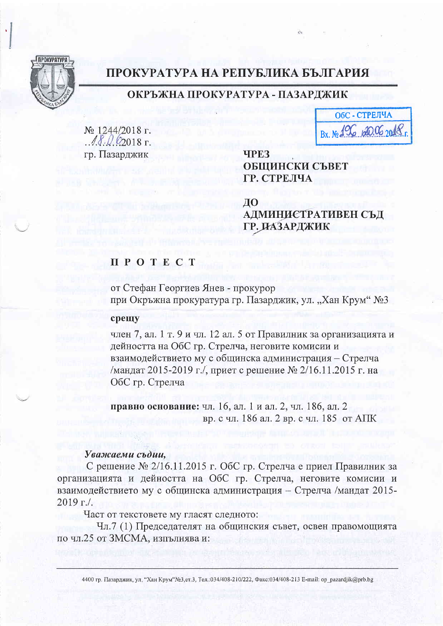

# ПРОКУРАТУРА НА РЕПУБЛИКА БЪЛГАРИЯ

## ОКРЪЖНА ПРОКУРАТУРА - ПАЗАРДЖИК

№ 1244/2018 г.  $18.062018$  F. гр. Пазарджик

ОбС - СТРЕЛЧА Bx No 196 620.06 2018

**TPE3** ОБЩИНСКИ СЪВЕТ ГР. СТРЕЛЧА

ДО АДМИНИСТРАТИВЕН СЪД ГР. ДАЗАРДЖИК

### **II POTECT**

от Стефан Георгиев Янев - прокурор при Окръжна прокуратура гр. Пазарджик, ул. "Хан Крум" №3

#### срещу

член 7, ал. 1 т. 9 и чл. 12 ал. 5 от Правилник за организацията и дейността на ОбС гр. Стрелча, неговите комисии и взаимодействието му с общинска администрация - Стрелча /мандат 2015-2019 г./, приет с решение № 2/16.11.2015 г. на ОбС гр. Стрелча

правно основание: чл. 16, ал. 1 и ал. 2, чл. 186, ал. 2 вр. с чл. 186 ал. 2 вр. с чл. 185 от АПК

#### Уважаеми съдии.

С решение № 2/16.11.2015 г. ОбС гр. Стрелча е приел Правилник за организацията и дейността на ОбС гр. Стрелча, неговите комисии и взаимодействието му с общинска администрация - Стрелча /мандат 2015- $2019$  r./.

Част от текстовете му гласят следното:

Чл.7 (1) Председателят на общинския съвет, освен правомощията по чл.25 от ЗМСМА, изпълнява и: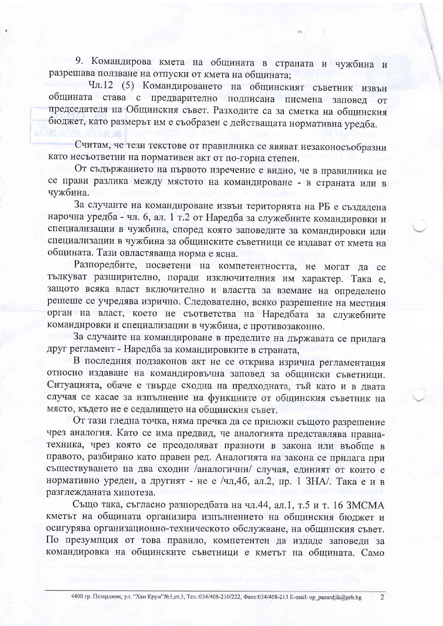9. Командирова кмета на общината в страната и чужбина и разрешава ползване на отпуски от кмета на общината;

Чл.12 (5) Командироването на общинският съветник извън общината става с предварително подписана писмена заповед от председателя на Общинския съвет. Разходите са за сметка на общинския бюджет, като размерът им е съобразен с действащата нормативна уредба.

Считам, че тези текстове от правилника се явяват незаконосъобразни като несъответни на нормативен акт от по-горна степен.

单调

От съдържанието на първото изречение е видно, че в правилника не се прави разлика между мястото на командироване - в страната или в чужбина.

За случаите на командироване извън територията на РБ е създадена нарочна уредба - чл. 6, ал. 1 т.2 от Наредба за служебните командировки и специализации в чужбина, според която заповедите за командировки или специализации в чужбина за общинските съветници се издават от кмета на общината. Тази овластяваща норма е ясна.

Разпоредбите, посветени на компетентността, не могат да се тълкуват разширително, поради изключителния им характер. Така е, защото всяка власт включително и властта за вземане на определено решеше се учредява изрично. Следователно, всяко разрешение на местния орган на власт, което не съответства на Наредбата за служебните командировки и специализации в чужбина, е противозаконно.

За случаите на командироване в пределите на държавата се прилага друг регламент - Наредба за командировките в страната,

В последния подзаконов акт не се открива изрична регламентация относно издаване на командировъчна заповед за общински съветници. Ситуацията, обаче е твърде сходна на предходната, тъй като и в двата случая се касае за изпълнение на функциите от общинския съветник на място, където не е седалището на общинския съвет.

От тази гледна точка, няма пречка да се приложи същото разрешение чрез аналогия. Като се има предвид, че аналогията представлява правнатехника, чрез която се преодоляват празноти в закона или въобще в правото, разбирано като правен ред. Аналогията на закона се прилага при съществуването на два сходни /аналогични/ случая, единият от които е нормативно уреден, а другият - не е /чл, 46, ал.2, пр. 1 ЗНА/. Така е и в разглежданата хипотеза.

Също така, съгласно разпоредбата на чл.44, ал.1, т.5 и т. 16 ЗМСМА кметът на общината организира изпълнението на общинския бюлжет и осигурява организационно-техническото обслужване, на общинския съвет. По презумпция от това правило, компетентен да издаде заповеди за командировка на общинските съветници е кметът на общината. Само

 $\overline{2}$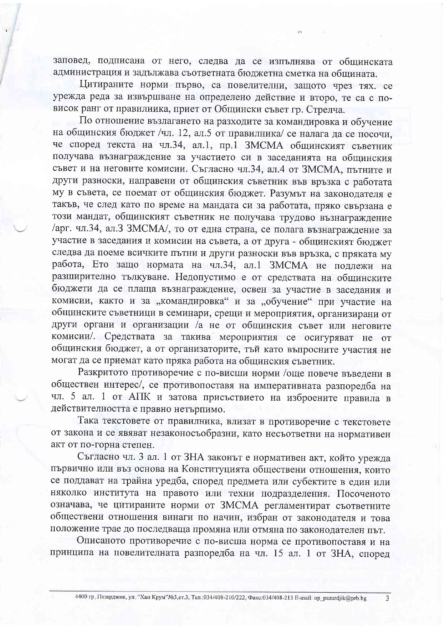заповед, подписана от него, следва да се изпълнява от общинската администрация и задължава съответната бюджетна сметка на общината.

Цитираните норми първо, са повелителни, защото чрез тях. се урежда реда за извършване на определено действие и второ, те са с повисок ранг от правилника, приет от Общински съвет гр. Стрелча.

По отношение възлагането на разходите за командировка и обучение на общинския бюджет /чл. 12, ал.5 от правилника/ се налага да се посочи. че според текста на чл.34, ал.1, пр.1 ЗМСМА общинският съветник получава възнаграждение за участието си в заседанията на общинския съвет и на неговите комисии. Съгласно чл.34, ал.4 от ЗМСМА, пътните и други разноски, направени от общинския съветник във връзка с работата му в съвета, се поемат от общинския бюджет. Разумът на законодателя е такъв, че след като по време на мандата си за работата, пряко свързана е този мандат, общинският съветник не получава трудово възнаграждение /арг. чл.34, ал.3 ЗМСМА/, то от една страна, се полага възнаграждение за участие в заседания и комисии на съвета, а от друга - общинският бюджет следва да поеме всичките пътни и други разноски във връзка, с пряката му работа, Ето защо нормата на чл.34, ал.1 ЗМСМА не подлежи на разширително тълкуване. Недопустимо е от средствата на общинските бюджети да се плаща възнаграждение, освен за участие в заседания и комисии, както и за "командировка" и за "обучение" при участие на общинските съветници в семинари, срещи и мероприятия, организирани от други органи и организации /а не от общинския съвет или неговите комисии/. Средствата за такива мероприятия се осигуряват не от общинския бюджет, а от организаторите, тъй като въпросните участия не могат да се приемат като пряка работа на общинския съветник.

Разкритото противоречие с по-висши норми /още повече въведени в обществен интерес/, се противопоставя на императивната разпоредба на чл. 5 ал. 1 от АПК и затова присъствието на изброените правила в действителността е правно нетърпимо.

Така текстовете от правилника, влизат в противоречие с текстовете от закона и се явяват незаконосъобразни, като несъответни на нормативен акт от по-горна степен.

Съгласно чл. 3 ал. 1 от ЗНА законът е нормативен акт, който урежда първично или въз основа на Конституцията обществени отношения, които се поддават на трайна уредба, според предмета или субектите в един или няколко института на правото или техни подразделения. Посоченото означава, че цитираните норми от ЗМСМА регламентират съответните обществени отношения винаги по начин, избран от законодателя и това положение трае до последваща промяна или отмяна по законодателен път.

Описаното противоречие с по-висша норма се противопоставя и на принципа на повелителната разпоредба на чл. 15 ал. 1 от ЗНА, според

 $\overline{3}$